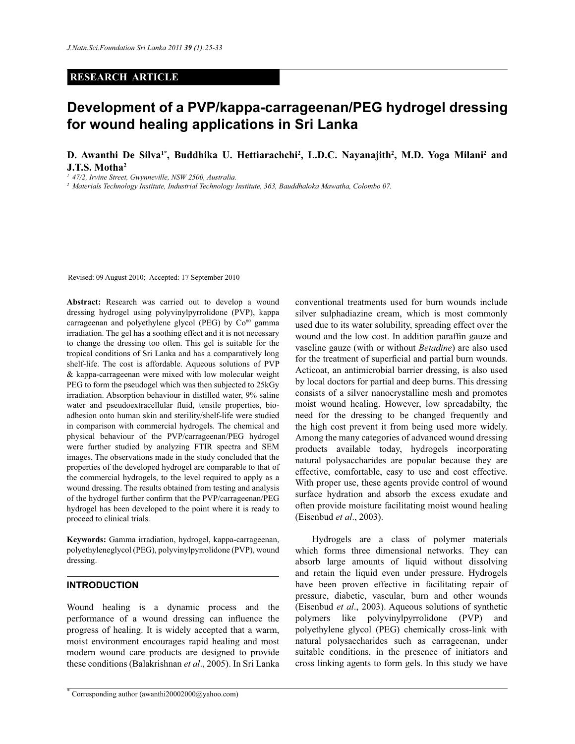### **RESEARCH ARTICLE**

# **Development of a PVP/kappa-carrageenan/PEG hydrogel dressing for wound healing applications in Sri Lanka**

**D. Awanthi De Silva1\*, Buddhika U. Hettiarachchi<sup>2</sup> , L.D.C. Nayanajith<sup>2</sup> , M.D. Yoga Milani<sup>2</sup> and J.T.S. Motha<sup>2</sup>**

*<sup>1</sup>47/2, Irvine Street, Gwynneville, NSW 2500, Australia.* 

*<sup>2</sup>Materials Technology Institute, Industrial Technology Institute, 363, Bauddhaloka Mawatha, Colombo 07.*

Revised: 09 August 2010; Accepted: 17 September 2010

**Abstract:** Research was carried out to develop a wound dressing hydrogel using polyvinylpyrrolidone (PVP), kappa carrageenan and polyethylene glycol (PEG) by  $Co<sup>60</sup>$  gamma irradiation. The gel has a soothing effect and it is not necessary to change the dressing too often. This gel is suitable for the tropical conditions of Sri Lanka and has a comparatively long shelf-life. The cost is affordable. Aqueous solutions of PVP & kappa-carrageenan were mixed with low molecular weight PEG to form the pseudogel which was then subjected to 25kGy irradiation. Absorption behaviour in distilled water, 9% saline water and pseudoextracellular fluid, tensile properties, bioadhesion onto human skin and sterility/shelf-life were studied in comparison with commercial hydrogels. The chemical and physical behaviour of the PVP/carrageenan/PEG hydrogel were further studied by analyzing FTIR spectra and SEM images. The observations made in the study concluded that the properties of the developed hydrogel are comparable to that of the commercial hydrogels, to the level required to apply as a wound dressing. The results obtained from testing and analysis of the hydrogel further confirm that the PVP/carrageenan/PEG hydrogel has been developed to the point where it is ready to proceed to clinical trials.

**Keywords:** Gamma irradiation, hydrogel, kappa-carrageenan, polyethyleneglycol (PEG), polyvinylpyrrolidone (PVP), wound dressing.

#### **INTRODUCTION**

Wound healing is a dynamic process and the performance of a wound dressing can influence the progress of healing. It is widely accepted that a warm, moist environment encourages rapid healing and most modern wound care products are designed to provide these conditions (Balakrishnan *et al*., 2005). In Sri Lanka

\* Corresponding author (awanthi20002000@yahoo.com) conventional treatments used for burn wounds include silver sulphadiazine cream, which is most commonly used due to its water solubility, spreading effect over the wound and the low cost. In addition paraffin gauze and vaseline gauze (with or without *Betadine*) are also used for the treatment of superficial and partial burn wounds. Acticoat, an antimicrobial barrier dressing, is also used by local doctors for partial and deep burns. This dressing consists of a silver nanocrystalline mesh and promotes moist wound healing. However, low spreadabilty, the need for the dressing to be changed frequently and the high cost prevent it from being used more widely. Among the many categories of advanced wound dressing products available today, hydrogels incorporating natural polysaccharides are popular because they are effective, comfortable, easy to use and cost effective. With proper use, these agents provide control of wound surface hydration and absorb the excess exudate and often provide moisture facilitating moist wound healing (Eisenbud *et al*., 2003).

 Hydrogels are a class of polymer materials which forms three dimensional networks. They can absorb large amounts of liquid without dissolving and retain the liquid even under pressure. Hydrogels have been proven effective in facilitating repair of pressure, diabetic, vascular, burn and other wounds (Eisenbud *et al*., 2003). Aqueous solutions of synthetic polymers like polyvinylpyrrolidone (PVP) and polyethylene glycol (PEG) chemically cross-link with natural polysaccharides such as carrageenan, under suitable conditions, in the presence of initiators and cross linking agents to form gels. In this study we have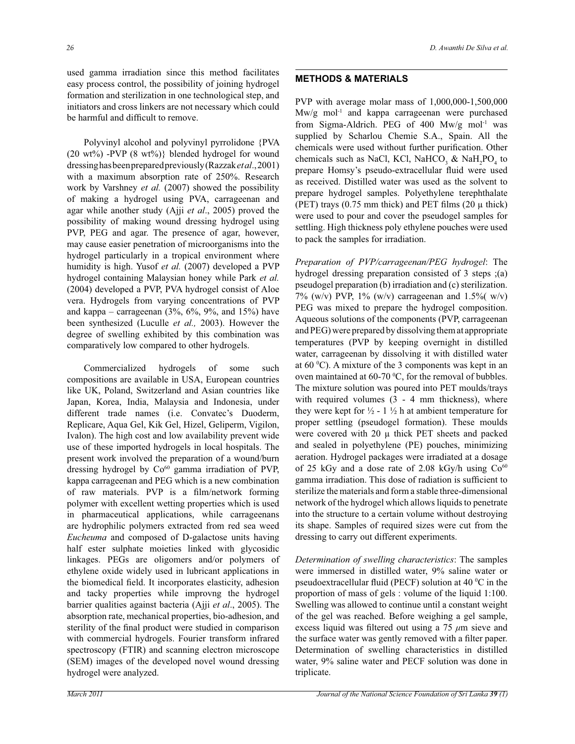used gamma irradiation since this method facilitates easy process control, the possibility of joining hydrogel formation and sterilization in one technological step, and initiators and cross linkers are not necessary which could be harmful and difficult to remove.

 Polyvinyl alcohol and polyvinyl pyrrolidone {PVA (20 wt%) -PVP  $(8 \text{ wt\%})$ } blended hydrogel for wound dressing has been prepared previously (Razzak *et al*., 2001) with a maximum absorption rate of 250%. Research work by Varshney *et al.* (2007) showed the possibility of making a hydrogel using PVA, carrageenan and agar while another study (Ajji *et al*., 2005) proved the possibility of making wound dressing hydrogel using PVP, PEG and agar. The presence of agar, however, may cause easier penetration of microorganisms into the hydrogel particularly in a tropical environment where humidity is high. Yusof *et al.* (2007) developed a PVP hydrogel containing Malaysian honey while Park *et al.* (2004) developed a PVP, PVA hydrogel consist of Aloe vera. Hydrogels from varying concentrations of PVP and kappa – carrageenan  $(3\%, 6\%, 9\%, 9\%, 61\%)$  have been synthesized (Luculle *et al.,* 2003). However the degree of swelling exhibited by this combination was comparatively low compared to other hydrogels.

 Commercialized hydrogels of some such compositions are available in USA, European countries like UK, Poland, Switzerland and Asian countries like Japan, Korea, India, Malaysia and Indonesia, under different trade names (i.e. Convatec's Duoderm, Replicare, Aqua Gel, Kik Gel, Hizel, Geliperm, Vigilon, Ivalon). The high cost and low availability prevent wide use of these imported hydrogels in local hospitals. The present work involved the preparation of a wound/burn dressing hydrogel by Co<sup>60</sup> gamma irradiation of PVP, kappa carrageenan and PEG which is a new combination of raw materials. PVP is a film/network forming polymer with excellent wetting properties which is used in pharmaceutical applications, while carrageenans are hydrophilic polymers extracted from red sea weed *Eucheuma* and composed of D-galactose units having half ester sulphate moieties linked with glycosidic linkages. PEGs are oligomers and/or polymers of ethylene oxide widely used in lubricant applications in the biomedical field. It incorporates elasticity, adhesion and tacky properties while improvng the hydrogel barrier qualities against bacteria (Ajji *et al*., 2005). The absorption rate, mechanical properties, bio-adhesion, and sterility of the final product were studied in comparison with commercial hydrogels. Fourier transform infrared spectroscopy (FTIR) and scanning electron microscope (SEM) images of the developed novel wound dressing hydrogel were analyzed.

#### **METHODS & MATERIALS**

PVP with average molar mass of 1,000,000-1,500,000 Mw/g mol-1 and kappa carrageenan were purchased from Sigma-Aldrich. PEG of 400 Mw/g mol<sup>-1</sup> was supplied by Scharlou Chemie S.A., Spain. All the chemicals were used without further purification. Other chemicals such as NaCl, KCl, NaHCO<sub>3</sub> & NaH<sub>2</sub>PO<sub>4</sub> to prepare Homsy's pseudo-extracellular fluid were used as received. Distilled water was used as the solvent to prepare hydrogel samples. Polyethylene terephthalate (PET) trays  $(0.75 \text{ mm thick})$  and PET films  $(20 \mu \text{ thick})$ were used to pour and cover the pseudogel samples for settling. High thickness poly ethylene pouches were used to pack the samples for irradiation.

*Preparation of PVP/carrageenan/PEG hydrogel*: The hydrogel dressing preparation consisted of 3 steps ;(a) pseudogel preparation (b) irradiation and (c) sterilization. 7% (w/v) PVP,  $1\%$  (w/v) carrageenan and  $1.5\%$  (w/v) PEG was mixed to prepare the hydrogel composition. Aqueous solutions of the components (PVP, carrageenan and PEG) were prepared by dissolving them at appropriate temperatures (PVP by keeping overnight in distilled water, carrageenan by dissolving it with distilled water at  $60^{\circ}$ C). A mixture of the 3 components was kept in an oven maintained at 60-70  $^{\circ}$ C, for the removal of bubbles. The mixture solution was poured into PET moulds/trays with required volumes (3 - 4 mm thickness), where they were kept for  $\frac{1}{2}$  - 1  $\frac{1}{2}$  h at ambient temperature for proper settling (pseudogel formation). These moulds were covered with  $20 \mu$  thick PET sheets and packed and sealed in polyethylene (PE) pouches, minimizing aeration. Hydrogel packages were irradiated at a dosage of 25 kGy and a dose rate of 2.08 kGy/h using  $Co<sup>60</sup>$ gamma irradiation. This dose of radiation is sufficient to sterilize the materials and form a stable three-dimensional network of the hydrogel which allows liquids to penetrate into the structure to a certain volume without destroying its shape. Samples of required sizes were cut from the dressing to carry out different experiments.

*Determination of swelling characteristics*: The samples were immersed in distilled water, 9% saline water or pseudoextracellular fluid (PECF) solution at 40  $\rm{^0C}$  in the proportion of mass of gels : volume of the liquid 1:100. Swelling was allowed to continue until a constant weight of the gel was reached. Before weighing a gel sample, excess liquid was filtered out using a 75 *μ*m sieve and the surface water was gently removed with a filter paper. Determination of swelling characteristics in distilled water, 9% saline water and PECF solution was done in triplicate.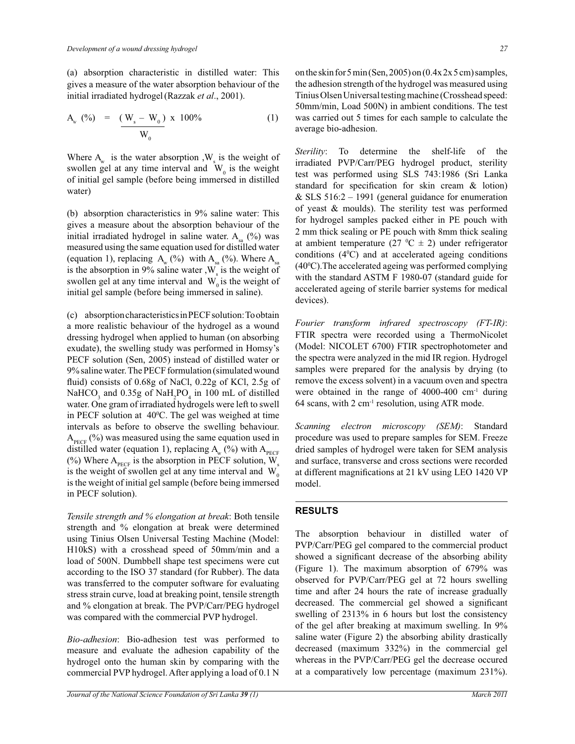(a) absorption characteristic in distilled water: This gives a measure of the water absorption behaviour of the initial irradiated hydrogel(Razzak *et al*., 2001).

$$
A_{w} (%) = (W_{s} - W_{0}) \times 100\% \tag{1}
$$

Where  $A_w$  is the water absorption , W<sub>s</sub> is the weight of swollen gel at any time interval and  $W_0$  is the weight of initial gel sample (before being immersed in distilled water)

(b) absorption characteristics in 9% saline water: This gives a measure about the absorption behaviour of the initial irradiated hydrogel in saline water.  $A_{sa}$  (%) was measured using the same equation used for distilled water (equation 1), replacing  $A_w$  (%) with  $A_{sa}$  (%). Where  $A_{sa}$ is the absorption in 9% saline water,  $W_s$  is the weight of swollen gel at any time interval and  $W_0$  is the weight of initial gel sample (before being immersed in saline).

(c) absorption characteristics in PECF solution: To obtain a more realistic behaviour of the hydrogel as a wound dressing hydrogel when applied to human (on absorbing exudate), the swelling study was performed in Homsy's PECF solution (Sen, 2005) instead of distilled water or 9% saline water. The PECF formulation (simulated wound fluid) consists of 0.68g of NaCl, 0.22g of KCl, 2.5g of NaHCO<sub>3</sub> and  $0.35g$  of NaH<sub>2</sub>PO<sub>4</sub> in 100 mL of distilled water. One gram of irradiated hydrogels were left to swell in PECF solution at  $40^{\circ}$ C. The gel was weighed at time intervals as before to observe the swelling behaviour.  $A_{\text{perc}}$  (%) was measured using the same equation used in distilled water (equation 1), replacing  $A_w$  (%) with  $A_{\text{peCF}}$ (%) Where  $A_{\text{perc}}$  is the absorption in PECF solution, W<sub>s</sub> is the weight of swollen gel at any time interval and  $W_0$ is the weight of initial gel sample (before being immersed in PECF solution).

*Tensile strength and % elongation at break*: Both tensile strength and % elongation at break were determined using Tinius Olsen Universal Testing Machine (Model: H10kS) with a crosshead speed of 50mm/min and a load of 500N. Dumbbell shape test specimens were cut according to the ISO 37 standard (for Rubber). The data was transferred to the computer software for evaluating stress strain curve, load at breaking point, tensile strength and % elongation at break. The PVP/Carr/PEG hydrogel was compared with the commercial PVP hydrogel.

*Bio-adhesion*: Bio-adhesion test was performed to measure and evaluate the adhesion capability of the hydrogel onto the human skin by comparing with the commercial PVP hydrogel. After applying a load of 0.1 N on the skin for 5 min (Sen, 2005) on (0.4x 2x 5 cm) samples, the adhesion strength of the hydrogel was measured using Tinius Olsen Universal testing machine (Crosshead speed: 50mm/min, Load 500N) in ambient conditions. The test was carried out 5 times for each sample to calculate the average bio-adhesion.

*Sterility*: To determine the shelf-life of the irradiated PVP/Carr/PEG hydrogel product, sterility test was performed using SLS 743:1986 (Sri Lanka standard for specification for skin cream & lotion) & SLS  $516:2 - 1991$  (general guidance for enumeration of yeast & moulds). The sterility test was performed for hydrogel samples packed either in PE pouch with 2 mm thick sealing or PE pouch with 8mm thick sealing at ambient temperature (27  $^{\circ}$ C  $\pm$  2) under refrigerator conditions  $(4^{\circ}C)$  and at accelerated ageing conditions  $(40\degree C)$ . The accelerated ageing was performed complying with the standard ASTM F 1980-07 (standard guide for accelerated ageing of sterile barrier systems for medical devices).

*Fourier transform infrared spectroscopy (FT-IR)*: FTIR spectra were recorded using a ThermoNicolet (Model: NICOLET 6700) FTIR spectrophotometer and the spectra were analyzed in the mid IR region. Hydrogel samples were prepared for the analysis by drying (to remove the excess solvent) in a vacuum oven and spectra were obtained in the range of  $4000-400$  cm<sup>-1</sup> during 64 scans, with  $2 \text{ cm}^{-1}$  resolution, using ATR mode.

*Scanning electron microscopy (SEM)*: Standard procedure was used to prepare samples for SEM. Freeze dried samples of hydrogel were taken for SEM analysis and surface, transverse and cross sections were recorded at different magnifications at 21 kV using LEO 1420 VP model.

### **RESULTS**

The absorption behaviour in distilled water of PVP/Carr/PEG gel compared to the commercial product showed a significant decrease of the absorbing ability (Figure 1). The maximum absorption of 679% was observed for PVP/Carr/PEG gel at 72 hours swelling time and after 24 hours the rate of increase gradually decreased. The commercial gel showed a significant swelling of 2313% in 6 hours but lost the consistency of the gel after breaking at maximum swelling. In 9% saline water (Figure 2) the absorbing ability drastically decreased (maximum 332%) in the commercial gel whereas in the PVP/Carr/PEG gel the decrease occured at a comparatively low percentage (maximum 231%).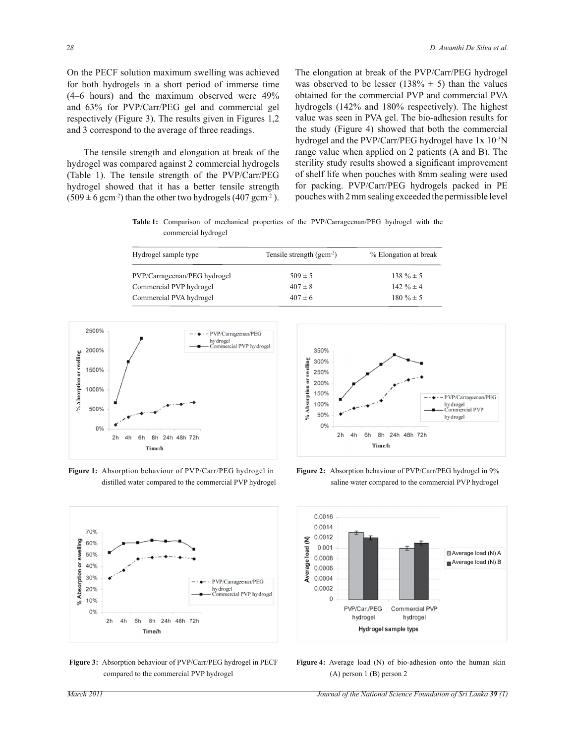On the PECF solution maximum swelling was achieved for both hydrogels in a short period of immerse time (4–6 hours) and the maximum observed were 49% and 63% for PVP/Carr/PEG gel and commercial gel respectively (Figure 3). The results given in Figures 1,2 and 3 correspond to the average of three readings.

 The tensile strength and elongation at break of the hydrogel was compared against 2 commercial hydrogels (Table 1). The tensile strength of the PVP/Carr/PEG hydrogel showed that it has a better tensile strength  $(509 \pm 6 \text{ gcm}^2)$  than the other two hydrogels  $(407 \text{ gcm}^2)$ . The elongation at break of the PVP/Carr/PEG hydrogel was observed to be lesser (138%  $\pm$  5) than the values obtained for the commercial PVP and commercial PVA hydrogels (142% and 180% respectively). The highest value was seen in PVA gel. The bio-adhesion results for the study (Figure 4) showed that both the commercial hydrogel and the PVP/Carr/PEG hydrogel have 1x 10-3N range value when applied on 2 patients (A and B). The sterility study results showed a significant improvement of shelf life when pouches with 8mm sealing were used for packing. PVP/Carr/PEG hydrogels packed in PE pouches with 2 mm sealing exceeded the permissible level

**Table 1:** Comparison of mechanical properties of the PVP/Carrageenan/PEG hydrogel with the commercial hydrogel

| Hydrogel sample type         | Tensile strength $(gcm-2)$ | % Elongation at break |  |  |  |
|------------------------------|----------------------------|-----------------------|--|--|--|
| PVP/Carrageenan/PEG hydrogel | $509 \pm 5$                | $138 \% \pm 5$        |  |  |  |
| Commercial PVP hydrogel      | $407 \pm 8$                | $142 \% \pm 4$        |  |  |  |
| Commercial PVA hydrogel      | $407 \pm 6$                | $180\% \pm 5$         |  |  |  |



**Figure 1:** Absorption behaviour of PVP/Carr/PEG hydrogel in distilled water compared to the commercial PVP hydrogel



**Figure 3:** Absorption behaviour of PVP/Carr/PEG hydrogel in PECF compared to the commercial PVP hydrogel



**Figure 2:** Absorption behaviour of PVP/Carr/PEG hydrogel in 9% saline water compared to the commercial PVP hydrogel



**Figure 4:** Average load (N) of bio-adhesion onto the human skin (A) person 1 (B) person 2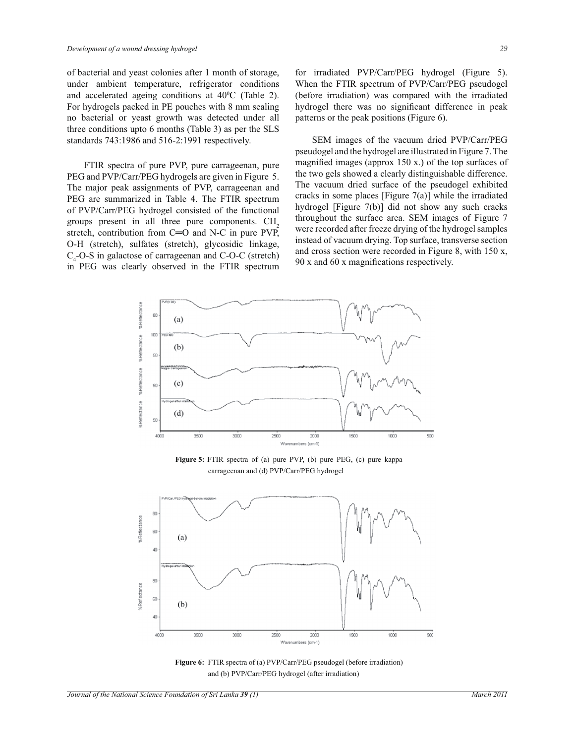of bacterial and yeast colonies after 1 month of storage, under ambient temperature, refrigerator conditions and accelerated ageing conditions at 40<sup>0</sup>C (Table 2). For hydrogels packed in PE pouches with 8 mm sealing no bacterial or yeast growth was detected under all three conditions upto 6 months (Table 3) as per the SLS standards 743:1986 and 516-2:1991 respectively.

 FTIR spectra of pure PVP, pure carrageenan, pure PEG and PVP/Carr/PEG hydrogels are given in Figure 5. The major peak assignments of PVP, carrageenan and PEG are summarized in Table 4. The FTIR spectrum of PVP/Carr/PEG hydrogel consisted of the functional groups present in all three pure components. CH<sub>2</sub> stretch, contribution from C=O and N-C in pure PVP, O-H (stretch), sulfates (stretch), glycosidic linkage,  $C_4$ -O-S in galactose of carrageenan and C-O-C (stretch) in PEG was clearly observed in the FTIR spectrum

for irradiated PVP/Carr/PEG hydrogel (Figure 5). When the FTIR spectrum of PVP/Carr/PEG pseudogel (before irradiation) was compared with the irradiated hydrogel there was no significant difference in peak patterns or the peak positions (Figure 6).

 SEM images of the vacuum dried PVP/Carr/PEG pseudogel and the hydrogel are illustrated in Figure 7. The magnified images (approx 150 x.) of the top surfaces of the two gels showed a clearly distinguishable difference. The vacuum dried surface of the pseudogel exhibited cracks in some places [Figure  $7(a)$ ] while the irradiated hydrogel [Figure 7(b)] did not show any such cracks throughout the surface area. SEM images of Figure 7 were recorded after freeze drying of the hydrogel samples instead of vacuum drying. Top surface, transverse section and cross section were recorded in Figure 8, with 150 x, 90 x and 60 x magnifications respectively.



**Figure 5:** FTIR spectra of (a) pure PVP, (b) pure PEG, (c) pure kappa carrageenan and (d) PVP/Carr/PEG hydrogel



Figure 6: FTIR spectra of (a) PVP/Carr/PEG pseudogel (before irradiation) and (b) PVP/Carr/PEG hydrogel (after irradiation)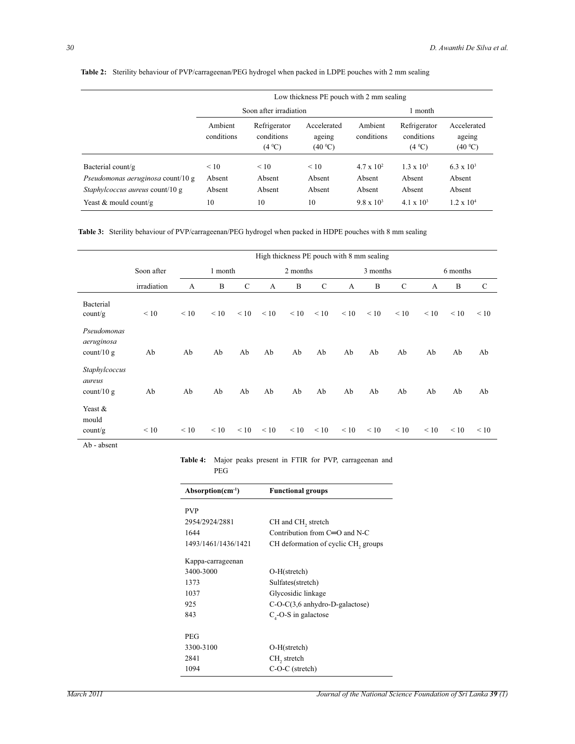|                                        |                       |                                              | Low thickness PE pouch with 2 mm sealing |                       |                                      |                                  |  |  |
|----------------------------------------|-----------------------|----------------------------------------------|------------------------------------------|-----------------------|--------------------------------------|----------------------------------|--|--|
|                                        |                       | Soon after irradiation                       |                                          |                       | 1 month                              |                                  |  |  |
|                                        | Ambient<br>conditions | Refrigerator<br>conditions<br>$(4^{\circ}C)$ | Accelerated<br>ageing<br>(40 °C)         | Ambient<br>conditions | Refrigerator<br>conditions<br>(4 °C) | Accelerated<br>ageing<br>(40 °C) |  |  |
| Bacterial count/g                      | $\leq 10$             | < 10                                         | < 10                                     | $4.7 \times 10^{2}$   | $1.3 \times 10^{3}$                  | $6.3 \times 10^{3}$              |  |  |
| Pseudomonas aeruginosa count/10 g      | Absent                | Absent                                       | Absent                                   | Absent                | Absent                               | Absent                           |  |  |
| <i>Staphylcoccus aureus</i> count/10 g | Absent                | Absent                                       | Absent                                   | Absent                | Absent                               | Absent                           |  |  |
| Yeast & mould count/g                  | 10                    | 10                                           | 10                                       | $9.8 \times 10^3$     | $4.1 \times 10^3$                    | $1.2 \times 10^{4}$              |  |  |

# **Table 2:** Sterility behaviour of PVP/carrageenan/PEG hydrogel when packed in LDPE pouches with 2 mm sealing

**Table 3:** Sterility behaviour of PVP/carrageenan/PEG hydrogel when packed in HDPE pouches with 8 mm sealing

|                                           |             | High thickness PE pouch with 8 mm sealing |         |              |           |           |           |           |           |             |           |           |              |
|-------------------------------------------|-------------|-------------------------------------------|---------|--------------|-----------|-----------|-----------|-----------|-----------|-------------|-----------|-----------|--------------|
|                                           | Soon after  |                                           | 1 month |              |           | 2 months  |           |           | 3 months  |             |           | 6 months  |              |
|                                           | irradiation | A                                         | B       | $\mathsf{C}$ | A         | B         | C         | A         | B         | $\mathbf C$ | A         | B         | $\mathsf{C}$ |
| Bacterial<br>count/g                      | < 10        | $\leq 10$                                 | < 10    | $\leq 10$    | $\leq 10$ | $\leq 10$ | $\leq 10$ | $\leq 10$ | < 10      | $\leq 10$   | $\leq 10$ | $\leq 10$ | $\leq 10$    |
| Pseudomonas<br>aeruginosa<br>$count/10$ g | Ab          | Ab                                        | Ab      | Ab           | Ab        | Ab        | Ab        | Ab        | Ab        | Ab          | Ab        | Ab        | Ab           |
| Staphylcoccus<br>aureus<br>count/ $10 g$  | Ab          | Ab                                        | Ab      | Ab           | Ab        | Ab        | Ab        | Ab        | Ab        | Ab          | Ab        | Ab        | Ab           |
| Yeast &<br>mould<br>count/g               | < 10        | $\leq 10$                                 | < 10    | < 10         | $\leq 10$ | $\leq 10$ | $\leq 10$ | $\leq 10$ | $\leq 10$ | $\leq 10$   | < 10      | $\leq 10$ | $\leq 10$    |

Ab - absent

**Table 4:** Major peaks present in FTIR for PVP, carrageenan and

PEG

| $Absorption(cm^{-1})$ | <b>Functional groups</b>            |
|-----------------------|-------------------------------------|
| <b>PVP</b>            |                                     |
| 2954/2924/2881        | CH and CH <sub>2</sub> stretch      |
| 1644                  | Contribution from $C=O$ and N-C     |
| 1493/1461/1436/1421   | CH deformation of cyclic CH, groups |
| Kappa-carrageenan     |                                     |
| 3400-3000             | $O-H(\text{stretch})$               |
| 1373                  | Sulfates(stretch)                   |
| 1037                  | Glycosidic linkage                  |
| 925                   | $C-O-C(3,6)$ anhydro-D-galactose)   |
| 843                   | $C4$ -O-S in galactose              |
| PEG                   |                                     |
| 3300-3100             | O-H(stretch)                        |
| 2841                  | CH <sub>2</sub> stretch             |
| 1094                  | $C-O-C$ (stretch)                   |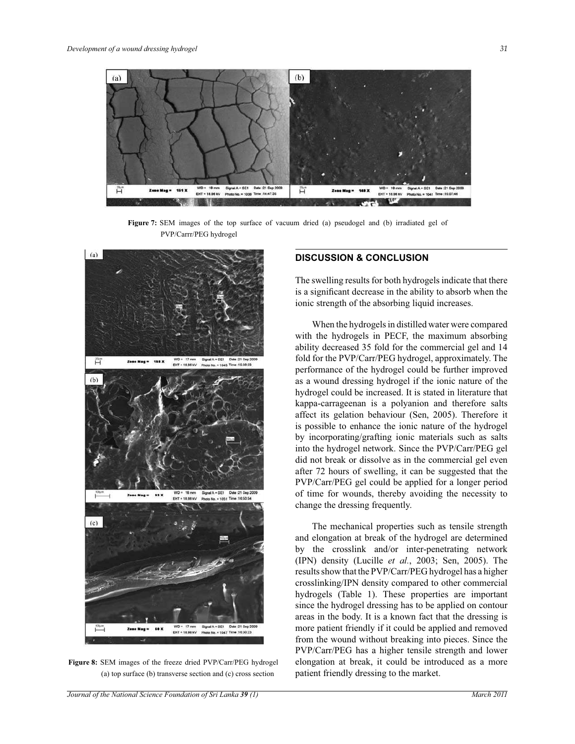

**Figure 7:** SEM images of the top surface of vacuum dried (a) pseudogel and (b) irradiated gel of PVP/Carrr/PEG hydrogel



**Figure 8:** SEM images of the freeze dried PVP/Carr/PEG hydrogel (a) top surface (b) transverse section and (c) cross section

# **DISCUSSION & CONCLUSION**

The swelling results for both hydrogels indicate that there is a significant decrease in the ability to absorb when the ionic strength of the absorbing liquid increases.

 When the hydrogels in distilled water were compared with the hydrogels in PECF, the maximum absorbing ability decreased 35 fold for the commercial gel and 14 fold for the PVP/Carr/PEG hydrogel, approximately. The performance of the hydrogel could be further improved as a wound dressing hydrogel if the ionic nature of the hydrogel could be increased. It is stated in literature that kappa-carrageenan is a polyanion and therefore salts affect its gelation behaviour (Sen, 2005). Therefore it is possible to enhance the ionic nature of the hydrogel by incorporating/grafting ionic materials such as salts into the hydrogel network. Since the PVP/Carr/PEG gel did not break or dissolve as in the commercial gel even after 72 hours of swelling, it can be suggested that the PVP/Carr/PEG gel could be applied for a longer period of time for wounds, thereby avoiding the necessity to change the dressing frequently.

 The mechanical properties such as tensile strength and elongation at break of the hydrogel are determined by the crosslink and/or inter-penetrating network (IPN) density (Lucille *et al.*, 2003; Sen, 2005). The results show that the PVP/Carr/PEG hydrogel has a higher crosslinking/IPN density compared to other commercial hydrogels (Table 1). These properties are important since the hydrogel dressing has to be applied on contour areas in the body. It is a known fact that the dressing is more patient friendly if it could be applied and removed from the wound without breaking into pieces. Since the PVP/Carr/PEG has a higher tensile strength and lower elongation at break, it could be introduced as a more patient friendly dressing to the market.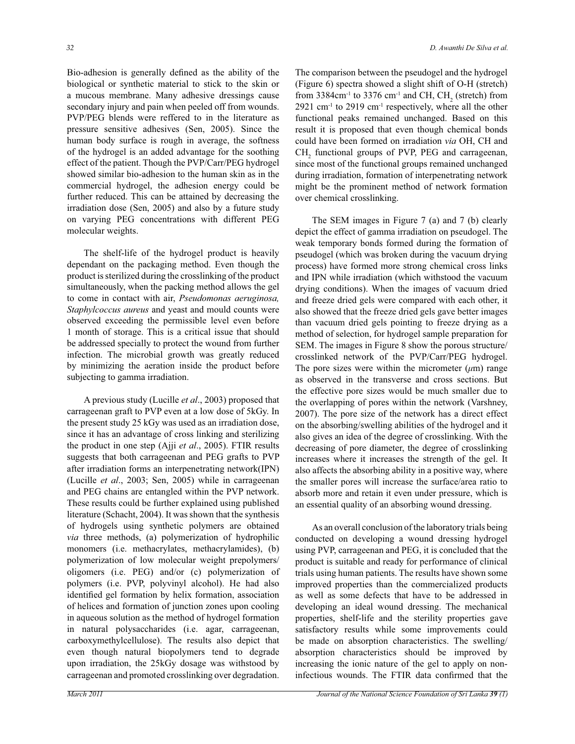Bio-adhesion is generally defined as the ability of the biological or synthetic material to stick to the skin or a mucous membrane. Many adhesive dressings cause secondary injury and pain when peeled off from wounds. PVP/PEG blends were reffered to in the literature as pressure sensitive adhesives (Sen, 2005). Since the human body surface is rough in average, the softness of the hydrogel is an added advantage for the soothing effect of the patient. Though the PVP/Carr/PEG hydrogel showed similar bio-adhesion to the human skin as in the commercial hydrogel, the adhesion energy could be further reduced. This can be attained by decreasing the irradiation dose (Sen, 2005) and also by a future study on varying PEG concentrations with different PEG molecular weights.

 The shelf-life of the hydrogel product is heavily dependant on the packaging method. Even though the product is sterilized during the crosslinking of the product simultaneously, when the packing method allows the gel to come in contact with air, *Pseudomonas aeruginosa, Staphylcoccus aureus* and yeast and mould counts were observed exceeding the permissible level even before 1 month of storage. This is a critical issue that should be addressed specially to protect the wound from further infection. The microbial growth was greatly reduced by minimizing the aeration inside the product before subjecting to gamma irradiation.

 A previous study (Lucille *et al*., 2003) proposed that carrageenan graft to PVP even at a low dose of 5kGy. In the present study 25 kGy was used as an irradiation dose, since it has an advantage of cross linking and sterilizing the product in one step (Ajji *et al*., 2005). FTIR results suggests that both carrageenan and PEG grafts to PVP after irradiation forms an interpenetrating network(IPN) (Lucille *et al*., 2003; Sen, 2005) while in carrageenan and PEG chains are entangled within the PVP network. These results could be further explained using published literature (Schacht, 2004). It was shown that the synthesis of hydrogels using synthetic polymers are obtained *via* three methods, (a) polymerization of hydrophilic monomers (i.e. methacrylates, methacrylamides), (b) polymerization of low molecular weight prepolymers/ oligomers (i.e. PEG) and/or (c) polymerization of polymers (i.e. PVP, polyvinyl alcohol). He had also identified gel formation by helix formation, association of helices and formation of junction zones upon cooling in aqueous solution as the method of hydrogel formation in natural polysaccharides (i.e. agar, carrageenan, carboxymethylcellulose). The results also depict that even though natural biopolymers tend to degrade upon irradiation, the 25kGy dosage was withstood by carrageenan and promoted crosslinking over degradation.

The comparison between the pseudogel and the hydrogel (Figure 6) spectra showed a slight shift of O-H (stretch) from 3384cm<sup>-1</sup> to 3376 cm<sup>-1</sup> and CH,  $\text{CH}_2$  (stretch) from  $2921$  cm<sup>-1</sup> to  $2919$  cm<sup>-1</sup> respectively, where all the other functional peaks remained unchanged. Based on this result it is proposed that even though chemical bonds could have been formed on irradiation *via* OH, CH and  $CH<sub>2</sub>$  functional groups of PVP, PEG and carrageenan, since most of the functional groups remained unchanged during irradiation, formation of interpenetrating network might be the prominent method of network formation over chemical crosslinking.

 The SEM images in Figure 7 (a) and 7 (b) clearly depict the effect of gamma irradiation on pseudogel. The weak temporary bonds formed during the formation of pseudogel (which was broken during the vacuum drying process) have formed more strong chemical cross links and IPN while irradiation (which withstood the vacuum drying conditions). When the images of vacuum dried and freeze dried gels were compared with each other, it also showed that the freeze dried gels gave better images than vacuum dried gels pointing to freeze drying as a method of selection, for hydrogel sample preparation for SEM. The images in Figure 8 show the porous structure/ crosslinked network of the PVP/Carr/PEG hydrogel. The pore sizes were within the micrometer  $(\mu m)$  range as observed in the transverse and cross sections. But the effective pore sizes would be much smaller due to the overlapping of pores within the network (Varshney, 2007). The pore size of the network has a direct effect on the absorbing/swelling abilities of the hydrogel and it also gives an idea of the degree of crosslinking. With the decreasing of pore diameter, the degree of crosslinking increases where it increases the strength of the gel. It also affects the absorbing ability in a positive way, where the smaller pores will increase the surface/area ratio to absorb more and retain it even under pressure, which is an essential quality of an absorbing wound dressing.

 As an overall conclusion of the laboratory trials being conducted on developing a wound dressing hydrogel using PVP, carrageenan and PEG, it is concluded that the product is suitable and ready for performance of clinical trials using human patients. The results have shown some improved properties than the commercialized products as well as some defects that have to be addressed in developing an ideal wound dressing. The mechanical properties, shelf-life and the sterility properties gave satisfactory results while some improvements could be made on absorption characteristics. The swelling/ absorption characteristics should be improved by increasing the ionic nature of the gel to apply on noninfectious wounds. The FTIR data confirmed that the